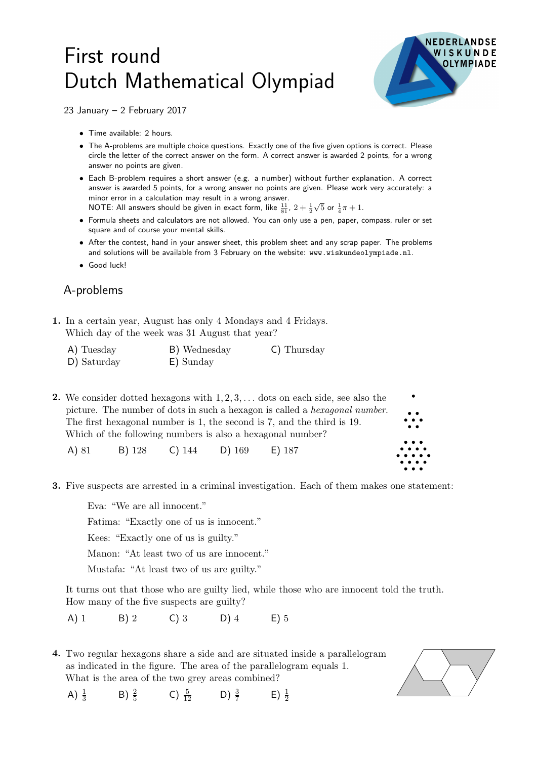## First round Dutch Mathematical Olympiad



23 January – 2 February 2017

- Time available: 2 hours.
- The A-problems are multiple choice questions. Exactly one of the five given options is correct. Please circle the letter of the correct answer on the form. A correct answer is awarded 2 points, for a wrong answer no points are given.
- Each B-problem requires a short answer (e.g. a number) without further explanation. A correct answer is awarded 5 points, for a wrong answer no points are given. Please work very accurately: a minor error in a calculation may result in a wrong answer. NOTE: All answers should be given in exact form, like  $\frac{11}{81}$ ,  $2+\frac{1}{2}$  $\sqrt{5}$  or  $\frac{1}{4}\pi + 1$ .
- Formula sheets and calculators are not allowed. You can only use a pen, paper, compass, ruler or set square and of course your mental skills.
- After the contest, hand in your answer sheet, this problem sheet and any scrap paper. The problems and solutions will be available from 3 February on the website: www.wiskundeolympiade.nl.
- Good luck!

## A-problems

A)  $\frac{1}{3}$ 

B)  $\frac{2}{5}$ 

1. In a certain year, August has only 4 Mondays and 4 Fridays. Which day of the week was 31 August that year?

| A) Tuesday  | B) Wednesday | C) Thursday |
|-------------|--------------|-------------|
| D) Saturday | E) Sunday    |             |

**2.** We consider dotted hexagons with  $1, 2, 3, \ldots$  dots on each side, see also the picture. The number of dots in such a hexagon is called a *hexagonal number*. The first hexagonal number is 1, the second is 7, and the third is 19. Which of the following numbers is also a hexagonal number?

A) 81 B) 128 C) 144 D) 169 E) 187

3. Five suspects are arrested in a criminal investigation. Each of them makes one statement:

Eva: "We are all innocent."

Fatima: "Exactly one of us is innocent."

Kees: "Exactly one of us is guilty."

Manon: "At least two of us are innocent."

Mustafa: "At least two of us are guilty."

It turns out that those who are guilty lied, while those who are innocent told the truth. How many of the five suspects are guilty?

 $E$ )  $\frac{1}{2}$ 

A) 1 B) 2 C) 3 D) 4 E) 5

C)  $\frac{5}{12}$ 

4. Two regular hexagons share a side and are situated inside a parallelogram as indicated in the figure. The area of the parallelogram equals 1. What is the area of the two grey areas combined?

 $rac{5}{12}$  D)  $rac{3}{7}$ 

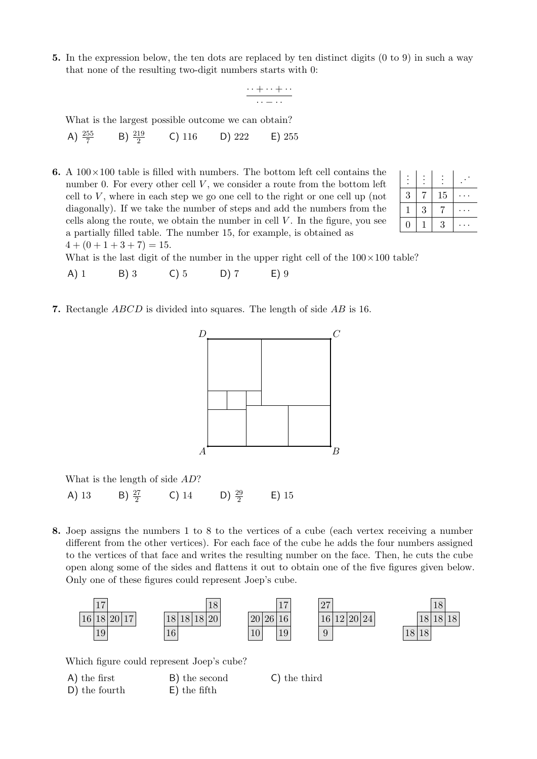5. In the expression below, the ten dots are replaced by ten distinct digits (0 to 9) in such a way that none of the resulting two-digit numbers starts with 0:

$$
\frac{\cdots+\cdots+\cdots}{\cdots-\cdots}
$$

What is the largest possible outcome we can obtain? A)  $\frac{255}{7}$ B)  $\frac{219}{2}$ C)  $116$  D)  $222$  E)  $255$ 

**6.** A  $100 \times 100$  table is filled with numbers. The bottom left cell contains the  $\Box$ . number 0. For every other cell  $V$ , we consider a route from the bottom left cell to  $V$ , where in each step we go one cell to the right or one cell up (not diagonally). If we take the number of steps and add the numbers from the cells along the route, we obtain the number in cell  $V$ . In the figure, you see a partially filled table. The number 15, for example, is obtained as  $4 + (0 + 1 + 3 + 7) = 15.$ 

| 3                | 7 | 15 |  |
|------------------|---|----|--|
|                  | 3 | 7  |  |
| $\left( \right)$ |   | 3  |  |

What is the last digit of the number in the upper right cell of the  $100 \times 100$  table?

- A) 1 B) 3 C) 5 D) 7 E) 9
- 7. Rectangle ABCD is divided into squares. The length of side AB is 16.



What is the length of side AD? A) 13 B)  $\frac{27}{2}$ C) 14 D)  $\frac{29}{2}$ E) 15

8. Joep assigns the numbers 1 to 8 to the vertices of a cube (each vertex receiving a number different from the other vertices). For each face of the cube he adds the four numbers assigned to the vertices of that face and writes the resulting number on the face. Then, he cuts the cube open along some of the sides and flattens it out to obtain one of the five figures given below. Only one of these figures could represent Joep's cube.



Which figure could represent Joep's cube?

A) the first B) the second C) the third D) the fourth E) the fifth